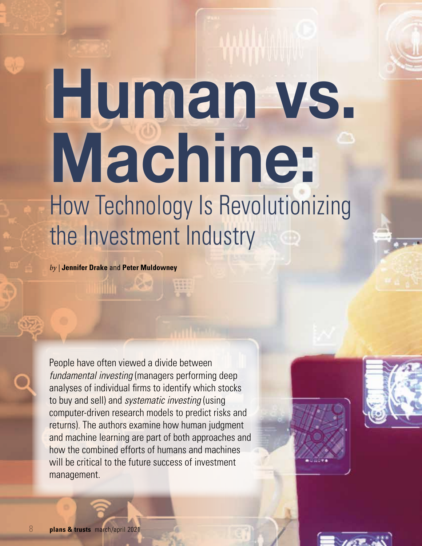# **Human vs. Machine:** How Technology Is Revolutionizing the Investment Industry

*by |* **Jennifer Drake** and **Peter Muldowney**

People have often viewed a divide between *fundamental investing* (managers performing deep analyses of individual firms to identify which stocks to buy and sell) and *systematic investing* (using computer-driven research models to predict risks and returns). The authors examine how human judgment and machine learning are part of both approaches and how the combined efforts of humans and machines will be critical to the future success of investment management.



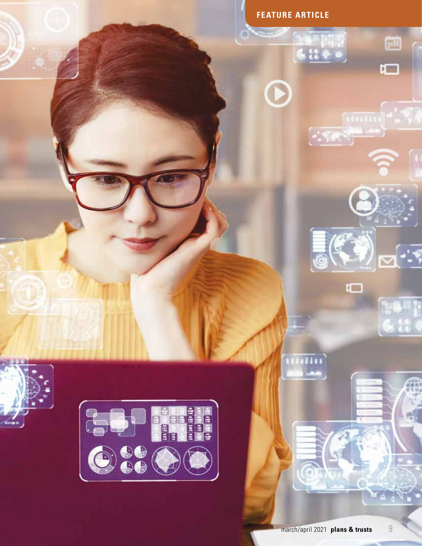

 $\mathbf \Omega$ 

Giles,

ð

口

 $\left( \bullet \right)$ 

Ō

ilin.

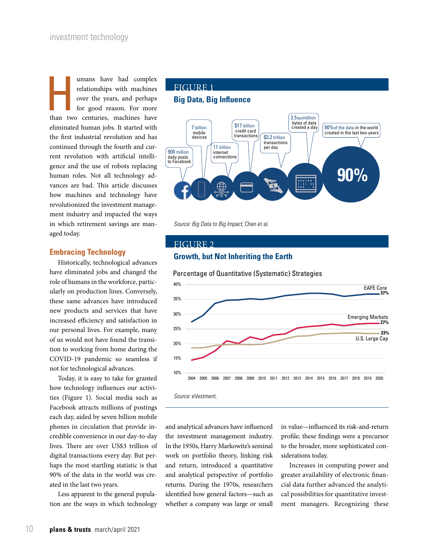umans have had complex<br>
relationships with machines<br>
over the years, and perhaps<br>
for good reason. For more<br>
than two centuries, machines have relationships with machines over the years, and perhaps for good reason. For more eliminated human jobs. It started with the first industrial revolution and has continued through the fourth and current revolution with artificial intelligence and the use of robots replacing human roles. Not all technology advances are bad. This article discusses how machines and technology have revolutionized the investment management industry and impacted the ways in which retirement savings are managed today.

#### **Embracing Technology**

Historically, technological advances have eliminated jobs and changed the role of humans in the workforce, particularly on production lines. Conversely, these same advances have introduced new products and services that have increased efficiency and satisfaction in our personal lives. For example, many of us would not have found the transition to working from home during the COVID-19 pandemic so seamless if not for technological advances.

Today, it is easy to take for granted how technology influences our activities (Figure 1). Social media such as Facebook attracts millions of postings each day, aided by seven billion mobile phones in circulation that provide incredible convenience in our day-to-day lives. There are over US\$3 trillion of digital transactions every day. But perhaps the most startling statistic is that 90% of the data in the world was created in the last two years.

Less apparent to the general population are the ways in which technology

## FIGURE 1

#### **Big Data, Big Influence**



*Source: Big Data to Big Impact,* Chen et al.

#### FIGURE 2

#### **Growth, but Not Inheriting the Earth**





and analytical advances have influenced the investment management industry. In the 1950s, Harry Markowitz's seminal work on portfolio theory, linking risk and return, introduced a quantitative and analytical perspective of portfolio returns. During the 1970s, researchers identified how general factors—such as whether a company was large or small

in value—influenced its risk-and-return profile; these findings were a precursor to the broader, more sophisticated considerations today.

Increases in computing power and greater availability of electronic financial data further advanced the analytical possibilities for quantitative investment managers. Recognizing these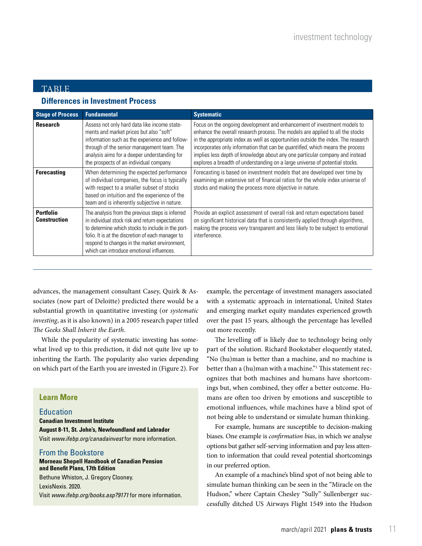### TABLE

#### **Differences in Investment Process**

| <b>Stage of Process</b>                 | <b>Fundamental</b>                                                                                                                                                                                                                                                                                           | <b>Systematic</b>                                                                                                                                                                                                                                                                                                                                                                                                                                                                                |
|-----------------------------------------|--------------------------------------------------------------------------------------------------------------------------------------------------------------------------------------------------------------------------------------------------------------------------------------------------------------|--------------------------------------------------------------------------------------------------------------------------------------------------------------------------------------------------------------------------------------------------------------------------------------------------------------------------------------------------------------------------------------------------------------------------------------------------------------------------------------------------|
| <b>Research</b>                         | Assess not only hard data like income state-<br>ments and market prices but also "soft"<br>information such as the experience and follow-<br>through of the senior management team. The<br>analysis aims for a deeper understanding for<br>the prospects of an individual company.                           | Focus on the ongoing development and enhancement of investment models to<br>enhance the overall research process. The models are applied to all the stocks<br>in the appropriate index as well as opportunities outside the index. The research<br>incorporates only information that can be quantified, which means the process<br>implies less depth of knowledge about any one particular company and instead<br>explores a breadth of understanding on a large universe of potential stocks. |
| <b>Forecasting</b>                      | When determining the expected performance<br>of individual companies, the focus is typically<br>with respect to a smaller subset of stocks<br>based on intuition and the experience of the<br>team and is inherently subjective in nature.                                                                   | Forecasting is based on investment models that are developed over time by<br>examining an extensive set of financial ratios for the whole index universe of<br>stocks and making the process more objective in nature.                                                                                                                                                                                                                                                                           |
| <b>Portfolio</b><br><b>Construction</b> | The analysis from the previous steps is inferred<br>in individual stock risk and return expectations<br>to determine which stocks to include in the port-<br>folio. It is at the discretion of each manager to<br>respond to changes in the market environment,<br>which can introduce emotional influences. | Provide an explicit assessment of overall risk and return expectations based<br>on significant historical data that is consistently applied through algorithms,<br>making the process very transparent and less likely to be subject to emotional<br>interference.                                                                                                                                                                                                                               |

advances, the management consultant Casey, Quirk & Associates (now part of Deloitte) predicted there would be a substantial growth in quantitative investing (or *systematic investing*, as it is also known) in a 2005 research paper titled *The Geeks Shall Inherit the Earth*.

While the popularity of systematic investing has somewhat lived up to this prediction, it did not quite live up to inheriting the Earth. The popularity also varies depending on which part of the Earth you are invested in (Figure 2). For

#### **Learn More**

#### Education

**Canadian Investment Institute August 8-11, St. John's, Newfoundland and Labrador** Visit *www.ifebp.org/canadainvest* for more information.

#### From the Bookstore

#### **Morneau Shepell Handbook of Canadian Pension and Benefit Plans, 17th Edition** Bethune Whiston, J. Gregory Clooney. LexisNexis. 2020.

Visit *www.ifebp.org/books.asp?9171* for more information.

example, the percentage of investment managers associated with a systematic approach in international, United States and emerging market equity mandates experienced growth over the past 15 years, although the percentage has levelled out more recently.

The levelling off is likely due to technology being only part of the solution. Richard Bookstaber eloquently stated, "No (hu)man is better than a machine, and no machine is better than a (hu)man with a machine."1 This statement recognizes that both machines and humans have shortcomings but, when combined, they offer a better outcome. Humans are often too driven by emotions and susceptible to emotional influences, while machines have a blind spot of not being able to understand or simulate human thinking.

For example, humans are susceptible to decision-making biases. One example is *confirmation bias*, in which we analyse options but gather self-serving information and pay less attention to information that could reveal potential shortcomings in our preferred option.

An example of a machine's blind spot of not being able to simulate human thinking can be seen in the "Miracle on the Hudson," where Captain Chesley "Sully" Sullenberger successfully ditched US Airways Flight 1549 into the Hudson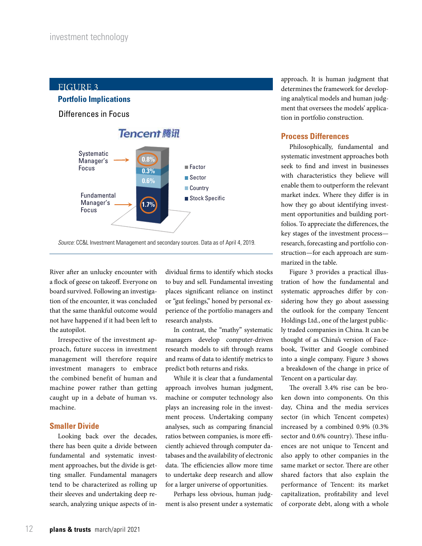

*Source:* CC&L Investment Management and secondary sources. Data as of April 4, 2019.

River after an unlucky encounter with a flock of geese on takeoff. Everyone on board survived. Following an investigation of the encounter, it was concluded that the same thankful outcome would not have happened if it had been left to the autopilot.

Irrespective of the investment approach, future success in investment management will therefore require investment managers to embrace the combined benefit of human and machine power rather than getting caught up in a debate of human vs. machine.

#### **Smaller Divide**

Looking back over the decades, there has been quite a divide between fundamental and systematic investment approaches, but the divide is getting smaller. Fundamental managers tend to be characterized as rolling up their sleeves and undertaking deep research, analyzing unique aspects of in-

dividual firms to identify which stocks to buy and sell. Fundamental investing places significant reliance on instinct or "gut feelings," honed by personal experience of the portfolio managers and research analysts.

In contrast, the "mathy" systematic managers develop computer-driven research models to sift through reams and reams of data to identify metrics to predict both returns and risks.

While it is clear that a fundamental approach involves human judgment, machine or computer technology also plays an increasing role in the investment process. Undertaking company analyses, such as comparing financial ratios between companies, is more efficiently achieved through computer databases and the availability of electronic data. The efficiencies allow more time to undertake deep research and allow for a larger universe of opportunities.

Perhaps less obvious, human judgment is also present under a systematic approach. It is human judgment that determines the framework for developing analytical models and human judgment that oversees the models' application in portfolio construction.

#### **Process Differences**

Philosophically, fundamental and systematic investment approaches both seek to find and invest in businesses with characteristics they believe will enable them to outperform the relevant market index. Where they differ is in how they go about identifying investment opportunities and building portfolios. To appreciate the differences, the key stages of the investment process research, forecasting and portfolio construction—for each approach are summarized in the table.

Figure 3 provides a practical illustration of how the fundamental and systematic approaches differ by considering how they go about assessing the outlook for the company Tencent Holdings Ltd., one of the largest publicly traded companies in China. It can be thought of as China's version of Facebook, Twitter and Google combined into a single company. Figure 3 shows a breakdown of the change in price of Tencent on a particular day.

The overall 3.4% rise can be broken down into components. On this day, China and the media services sector (in which Tencent competes) increased by a combined 0.9% (0.3% sector and 0.6% country). These influences are not unique to Tencent and also apply to other companies in the same market or sector. There are other shared factors that also explain the performance of Tencent: its market capitalization, profitability and level of corporate debt, along with a whole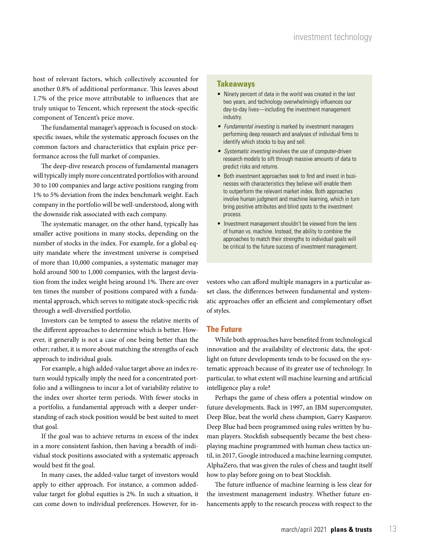host of relevant factors, which collectively accounted for another 0.8% of additional performance. This leaves about 1.7% of the price move attributable to influences that are truly unique to Tencent, which represent the stock-specific component of Tencent's price move.

The fundamental manager's approach is focused on stockspecific issues, while the systematic approach focuses on the common factors and characteristics that explain price performance across the full market of companies.

The deep-dive research process of fundamental managers will typically imply more concentrated portfolios with around 30 to 100 companies and large active positions ranging from 1% to 5% deviation from the index benchmark weight. Each company in the portfolio will be well-understood, along with the downside risk associated with each company.

The systematic manager, on the other hand, typically has smaller active positions in many stocks, depending on the number of stocks in the index. For example, for a global equity mandate where the investment universe is comprised of more than 10,000 companies, a systematic manager may hold around 500 to 1,000 companies, with the largest deviation from the index weight being around 1%. There are over ten times the number of positions compared with a fundamental approach, which serves to mitigate stock-specific risk through a well-diversified portfolio.

Investors can be tempted to assess the relative merits of the different approaches to determine which is better. However, it generally is not a case of one being better than the other; rather, it is more about matching the strengths of each approach to individual goals.

For example, a high added-value target above an index return would typically imply the need for a concentrated portfolio and a willingness to incur a lot of variability relative to the index over shorter term periods. With fewer stocks in a portfolio, a fundamental approach with a deeper understanding of each stock position would be best suited to meet that goal.

If the goal was to achieve returns in excess of the index in a more consistent fashion, then having a breadth of individual stock positions associated with a systematic approach would best fit the goal.

In many cases, the added-value target of investors would apply to either approach. For instance, a common addedvalue target for global equities is 2%. In such a situation, it can come down to individual preferences. However, for in-

#### **Takeaways**

- Ninety percent of data in the world was created in the last two years, and technology overwhelmingly influences our day-to-day lives—including the investment management industry.
- *• Fundamental investing* is marked by investment managers performing deep research and analyses of individual firms to identify which stocks to buy and sell.
- *• Systematic investing* involves the use of computer-driven research models to sift through massive amounts of data to predict risks and returns.
- Both investment approaches seek to find and invest in businesses with characteristics they believe will enable them to outperform the relevant market index. Both approaches involve human judgment and machine learning, which in turn bring positive attributes and blind spots to the investment process.
- Investment management shouldn't be viewed from the lens of human vs. machine. Instead, the ability to combine the approaches to match their strengths to individual goals will be critical to the future success of investment management.

vestors who can afford multiple managers in a particular asset class, the differences between fundamental and systematic approaches offer an efficient and complementary offset of styles.

#### **The Future**

While both approaches have benefited from technological innovation and the availability of electronic data, the spotlight on future developments tends to be focused on the systematic approach because of its greater use of technology. In particular, to what extent will machine learning and artificial intelligence play a role?

Perhaps the game of chess offers a potential window on future developments. Back in 1997, an IBM supercomputer, Deep Blue, beat the world chess champion, Garry Kasparov. Deep Blue had been programmed using rules written by human players. Stockfish subsequently became the best chessplaying machine programmed with human chess tactics until, in 2017, Google introduced a machine learning computer, AlphaZero, that was given the rules of chess and taught itself how to play before going on to beat Stockfish.

The future influence of machine learning is less clear for the investment management industry. Whether future enhancements apply to the research process with respect to the